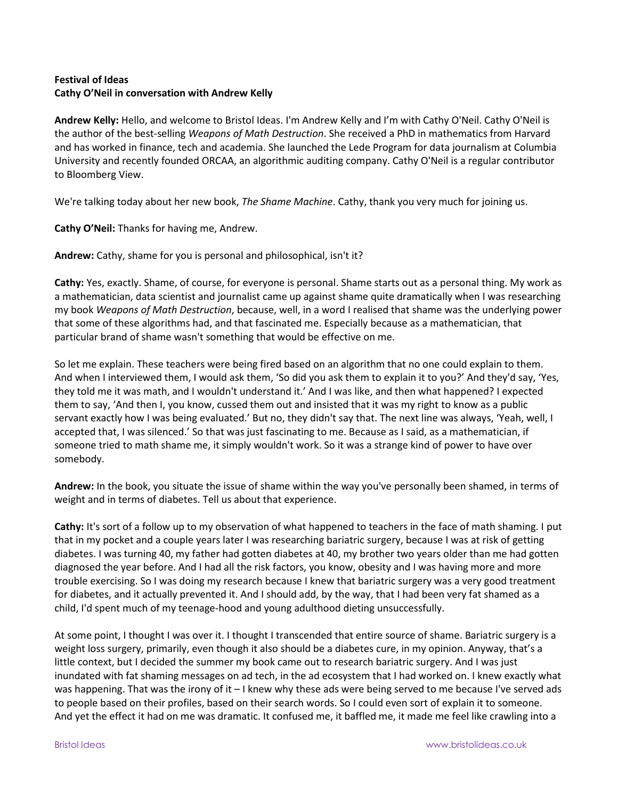## **Festival of Ideas Cathy O'Neil in conversation with Andrew Kelly**

**Andrew Kelly:** Hello, and welcome to Bristol Ideas. I'm Andrew Kelly and I'm with Cathy O'Neil. Cathy O'Neil is the author of the best-selling *Weapons of Math Destruction*. She received a PhD in mathematics from Harvard and has worked in finance, tech and academia. She launched the Lede Program for data journalism at Columbia University and recently founded ORCAA, an algorithmic auditing company. Cathy O'Neil is a regular contributor to Bloomberg View.

We're talking today about her new book, *The Shame Machine*. Cathy, thank you very much for joining us.

**Cathy O'Neil:** Thanks for having me, Andrew.

**Andrew:** Cathy, shame for you is personal and philosophical, isn't it?

**Cathy:** Yes, exactly. Shame, of course, for everyone is personal. Shame starts out as a personal thing. My work as a mathematician, data scientist and journalist came up against shame quite dramatically when I was researching my book *Weapons of Math Destruction*, because, well, in a word I realised that shame was the underlying power that some of these algorithms had, and that fascinated me. Especially because as a mathematician, that particular brand of shame wasn't something that would be effective on me.

So let me explain. These teachers were being fired based on an algorithm that no one could explain to them. And when I interviewed them, I would ask them, 'So did you ask them to explain it to you?' And they'd say, 'Yes, they told me it was math, and I wouldn't understand it.' And I was like, and then what happened? I expected them to say, 'And then I, you know, cussed them out and insisted that it was my right to know as a public servant exactly how I was being evaluated.' But no, they didn't say that. The next line was always, 'Yeah, well, I accepted that, I was silenced.' So that was just fascinating to me. Because as I said, as a mathematician, if someone tried to math shame me, it simply wouldn't work. So it was a strange kind of power to have over somebody.

**Andrew:** In the book, you situate the issue of shame within the way you've personally been shamed, in terms of weight and in terms of diabetes. Tell us about that experience.

**Cathy:** It's sort of a follow up to my observation of what happened to teachers in the face of math shaming. I put that in my pocket and a couple years later I was researching bariatric surgery, because I was at risk of getting diabetes. I was turning 40, my father had gotten diabetes at 40, my brother two years older than me had gotten diagnosed the year before. And I had all the risk factors, you know, obesity and I was having more and more trouble exercising. So I was doing my research because I knew that bariatric surgery was a very good treatment for diabetes, and it actually prevented it. And I should add, by the way, that I had been very fat shamed as a child, I'd spent much of my teenage-hood and young adulthood dieting unsuccessfully.

At some point, I thought I was over it. I thought I transcended that entire source of shame. Bariatric surgery is a weight loss surgery, primarily, even though it also should be a diabetes cure, in my opinion. Anyway, that's a little context, but I decided the summer my book came out to research bariatric surgery. And I was just inundated with fat shaming messages on ad tech, in the ad ecosystem that I had worked on. I knew exactly what was happening. That was the irony of it – I knew why these ads were being served to me because I've served ads to people based on their profiles, based on their search words. So I could even sort of explain it to someone. And yet the effect it had on me was dramatic. It confused me, it baffled me, it made me feel like crawling into a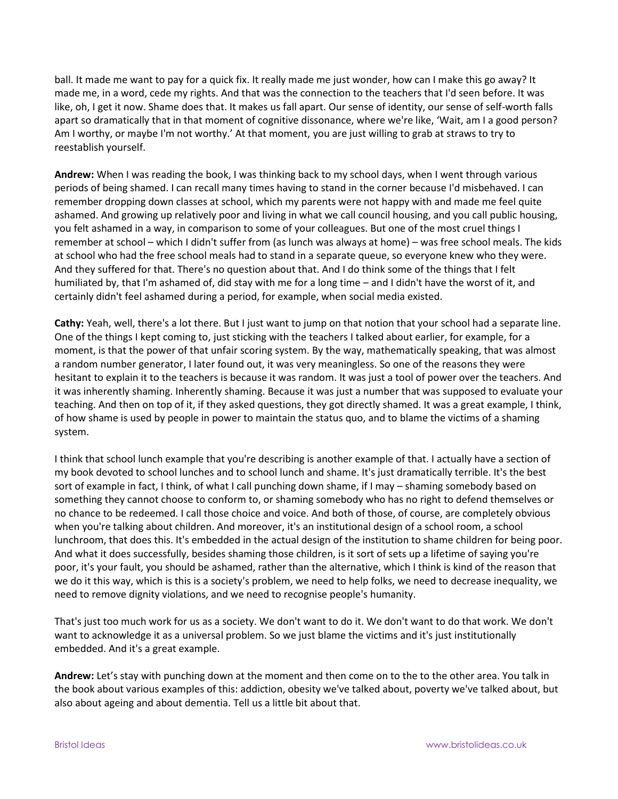ball. It made me want to pay for a quick fix. It really made me just wonder, how can I make this go away? It made me, in a word, cede my rights. And that was the connection to the teachers that I'd seen before. It was like, oh, I get it now. Shame does that. It makes us fall apart. Our sense of identity, our sense of self-worth falls apart so dramatically that in that moment of cognitive dissonance, where we're like, 'Wait, am I a good person? Am I worthy, or maybe I'm not worthy.' At that moment, you are just willing to grab at straws to try to reestablish yourself.

**Andrew:** When I was reading the book, I was thinking back to my school days, when I went through various periods of being shamed. I can recall many times having to stand in the corner because I'd misbehaved. I can remember dropping down classes at school, which my parents were not happy with and made me feel quite ashamed. And growing up relatively poor and living in what we call council housing, and you call public housing, you felt ashamed in a way, in comparison to some of your colleagues. But one of the most cruel things I remember at school – which I didn't suffer from (as lunch was always at home) – was free school meals. The kids at school who had the free school meals had to stand in a separate queue, so everyone knew who they were. And they suffered for that. There's no question about that. And I do think some of the things that I felt humiliated by, that I'm ashamed of, did stay with me for a long time – and I didn't have the worst of it, and certainly didn't feel ashamed during a period, for example, when social media existed.

**Cathy:** Yeah, well, there's a lot there. But I just want to jump on that notion that your school had a separate line. One of the things I kept coming to, just sticking with the teachers I talked about earlier, for example, for a moment, is that the power of that unfair scoring system. By the way, mathematically speaking, that was almost a random number generator, I later found out, it was very meaningless. So one of the reasons they were hesitant to explain it to the teachers is because it was random. It was just a tool of power over the teachers. And it was inherently shaming. Inherently shaming. Because it was just a number that was supposed to evaluate your teaching. And then on top of it, if they asked questions, they got directly shamed. It was a great example, I think, of how shame is used by people in power to maintain the status quo, and to blame the victims of a shaming system.

I think that school lunch example that you're describing is another example of that. I actually have a section of my book devoted to school lunches and to school lunch and shame. It's just dramatically terrible. It's the best sort of example in fact, I think, of what I call punching down shame, if I may – shaming somebody based on something they cannot choose to conform to, or shaming somebody who has no right to defend themselves or no chance to be redeemed. I call those choice and voice. And both of those, of course, are completely obvious when you're talking about children. And moreover, it's an institutional design of a school room, a school lunchroom, that does this. It's embedded in the actual design of the institution to shame children for being poor. And what it does successfully, besides shaming those children, is it sort of sets up a lifetime of saying you're poor, it's your fault, you should be ashamed, rather than the alternative, which I think is kind of the reason that we do it this way, which is this is a society's problem, we need to help folks, we need to decrease inequality, we need to remove dignity violations, and we need to recognise people's humanity.

That's just too much work for us as a society. We don't want to do it. We don't want to do that work. We don't want to acknowledge it as a universal problem. So we just blame the victims and it's just institutionally embedded. And it's a great example.

**Andrew:** Let's stay with punching down at the moment and then come on to the to the other area. You talk in the book about various examples of this: addiction, obesity we've talked about, poverty we've talked about, but also about ageing and about dementia. Tell us a little bit about that.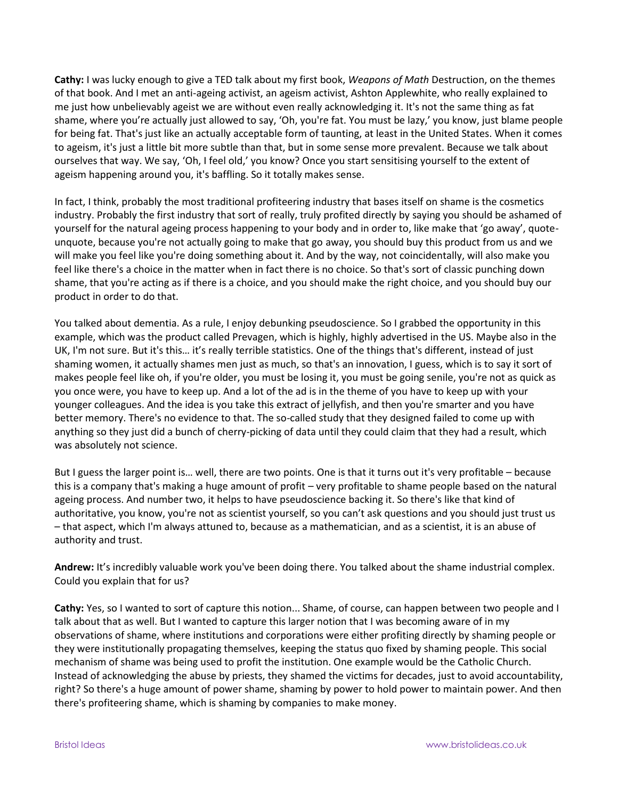**Cathy:** I was lucky enough to give a TED talk about my first book, *Weapons of Math* Destruction, on the themes of that book. And I met an anti-ageing activist, an ageism activist, Ashton Applewhite, who really explained to me just how unbelievably ageist we are without even really acknowledging it. It's not the same thing as fat shame, where you're actually just allowed to say, 'Oh, you're fat. You must be lazy,' you know, just blame people for being fat. That's just like an actually acceptable form of taunting, at least in the United States. When it comes to ageism, it's just a little bit more subtle than that, but in some sense more prevalent. Because we talk about ourselves that way. We say, 'Oh, I feel old,' you know? Once you start sensitising yourself to the extent of ageism happening around you, it's baffling. So it totally makes sense.

In fact, I think, probably the most traditional profiteering industry that bases itself on shame is the cosmetics industry. Probably the first industry that sort of really, truly profited directly by saying you should be ashamed of yourself for the natural ageing process happening to your body and in order to, like make that 'go away', quoteunquote, because you're not actually going to make that go away, you should buy this product from us and we will make you feel like you're doing something about it. And by the way, not coincidentally, will also make you feel like there's a choice in the matter when in fact there is no choice. So that's sort of classic punching down shame, that you're acting as if there is a choice, and you should make the right choice, and you should buy our product in order to do that.

You talked about dementia. As a rule, I enjoy debunking pseudoscience. So I grabbed the opportunity in this example, which was the product called Prevagen, which is highly, highly advertised in the US. Maybe also in the UK, I'm not sure. But it's this… it's really terrible statistics. One of the things that's different, instead of just shaming women, it actually shames men just as much, so that's an innovation, I guess, which is to say it sort of makes people feel like oh, if you're older, you must be losing it, you must be going senile, you're not as quick as you once were, you have to keep up. And a lot of the ad is in the theme of you have to keep up with your younger colleagues. And the idea is you take this extract of jellyfish, and then you're smarter and you have better memory. There's no evidence to that. The so-called study that they designed failed to come up with anything so they just did a bunch of cherry-picking of data until they could claim that they had a result, which was absolutely not science.

But I guess the larger point is… well, there are two points. One is that it turns out it's very profitable – because this is a company that's making a huge amount of profit – very profitable to shame people based on the natural ageing process. And number two, it helps to have pseudoscience backing it. So there's like that kind of authoritative, you know, you're not as scientist yourself, so you can't ask questions and you should just trust us – that aspect, which I'm always attuned to, because as a mathematician, and as a scientist, it is an abuse of authority and trust.

**Andrew:** It's incredibly valuable work you've been doing there. You talked about the shame industrial complex. Could you explain that for us?

**Cathy:** Yes, so I wanted to sort of capture this notion... Shame, of course, can happen between two people and I talk about that as well. But I wanted to capture this larger notion that I was becoming aware of in my observations of shame, where institutions and corporations were either profiting directly by shaming people or they were institutionally propagating themselves, keeping the status quo fixed by shaming people. This social mechanism of shame was being used to profit the institution. One example would be the Catholic Church. Instead of acknowledging the abuse by priests, they shamed the victims for decades, just to avoid accountability, right? So there's a huge amount of power shame, shaming by power to hold power to maintain power. And then there's profiteering shame, which is shaming by companies to make money.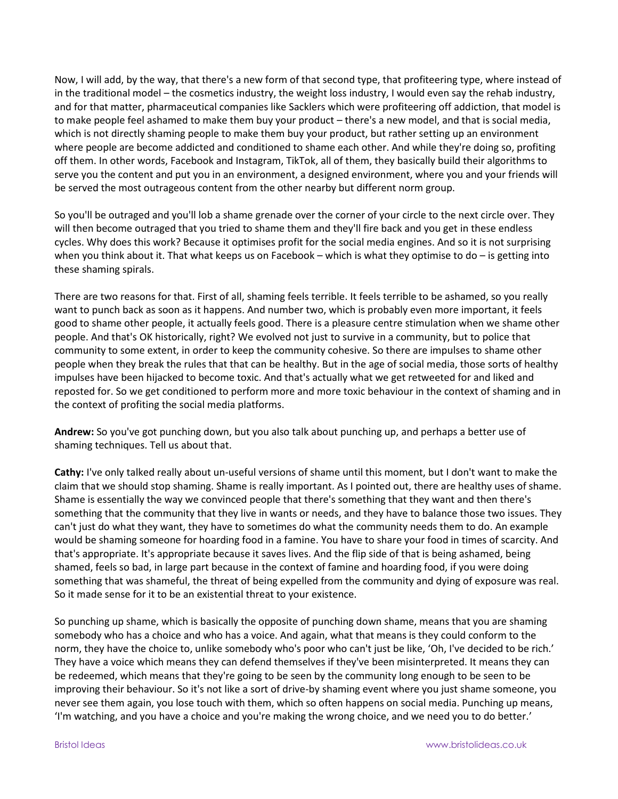Now, I will add, by the way, that there's a new form of that second type, that profiteering type, where instead of in the traditional model – the cosmetics industry, the weight loss industry, I would even say the rehab industry, and for that matter, pharmaceutical companies like Sacklers which were profiteering off addiction, that model is to make people feel ashamed to make them buy your product – there's a new model, and that is social media, which is not directly shaming people to make them buy your product, but rather setting up an environment where people are become addicted and conditioned to shame each other. And while they're doing so, profiting off them. In other words, Facebook and Instagram, TikTok, all of them, they basically build their algorithms to serve you the content and put you in an environment, a designed environment, where you and your friends will be served the most outrageous content from the other nearby but different norm group.

So you'll be outraged and you'll lob a shame grenade over the corner of your circle to the next circle over. They will then become outraged that you tried to shame them and they'll fire back and you get in these endless cycles. Why does this work? Because it optimises profit for the social media engines. And so it is not surprising when you think about it. That what keeps us on Facebook – which is what they optimise to do – is getting into these shaming spirals.

There are two reasons for that. First of all, shaming feels terrible. It feels terrible to be ashamed, so you really want to punch back as soon as it happens. And number two, which is probably even more important, it feels good to shame other people, it actually feels good. There is a pleasure centre stimulation when we shame other people. And that's OK historically, right? We evolved not just to survive in a community, but to police that community to some extent, in order to keep the community cohesive. So there are impulses to shame other people when they break the rules that that can be healthy. But in the age of social media, those sorts of healthy impulses have been hijacked to become toxic. And that's actually what we get retweeted for and liked and reposted for. So we get conditioned to perform more and more toxic behaviour in the context of shaming and in the context of profiting the social media platforms.

**Andrew:** So you've got punching down, but you also talk about punching up, and perhaps a better use of shaming techniques. Tell us about that.

**Cathy:** I've only talked really about un-useful versions of shame until this moment, but I don't want to make the claim that we should stop shaming. Shame is really important. As I pointed out, there are healthy uses of shame. Shame is essentially the way we convinced people that there's something that they want and then there's something that the community that they live in wants or needs, and they have to balance those two issues. They can't just do what they want, they have to sometimes do what the community needs them to do. An example would be shaming someone for hoarding food in a famine. You have to share your food in times of scarcity. And that's appropriate. It's appropriate because it saves lives. And the flip side of that is being ashamed, being shamed, feels so bad, in large part because in the context of famine and hoarding food, if you were doing something that was shameful, the threat of being expelled from the community and dying of exposure was real. So it made sense for it to be an existential threat to your existence.

So punching up shame, which is basically the opposite of punching down shame, means that you are shaming somebody who has a choice and who has a voice. And again, what that means is they could conform to the norm, they have the choice to, unlike somebody who's poor who can't just be like, 'Oh, I've decided to be rich.' They have a voice which means they can defend themselves if they've been misinterpreted. It means they can be redeemed, which means that they're going to be seen by the community long enough to be seen to be improving their behaviour. So it's not like a sort of drive-by shaming event where you just shame someone, you never see them again, you lose touch with them, which so often happens on social media. Punching up means, 'I'm watching, and you have a choice and you're making the wrong choice, and we need you to do better.'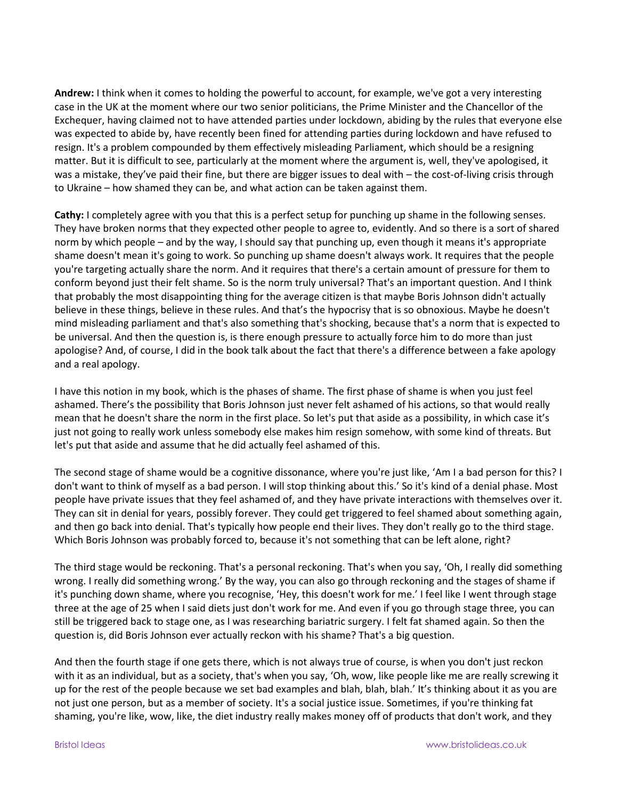**Andrew:** I think when it comes to holding the powerful to account, for example, we've got a very interesting case in the UK at the moment where our two senior politicians, the Prime Minister and the Chancellor of the Exchequer, having claimed not to have attended parties under lockdown, abiding by the rules that everyone else was expected to abide by, have recently been fined for attending parties during lockdown and have refused to resign. It's a problem compounded by them effectively misleading Parliament, which should be a resigning matter. But it is difficult to see, particularly at the moment where the argument is, well, they've apologised, it was a mistake, they've paid their fine, but there are bigger issues to deal with – the cost-of-living crisis through to Ukraine – how shamed they can be, and what action can be taken against them.

**Cathy:** I completely agree with you that this is a perfect setup for punching up shame in the following senses. They have broken norms that they expected other people to agree to, evidently. And so there is a sort of shared norm by which people – and by the way, I should say that punching up, even though it means it's appropriate shame doesn't mean it's going to work. So punching up shame doesn't always work. It requires that the people you're targeting actually share the norm. And it requires that there's a certain amount of pressure for them to conform beyond just their felt shame. So is the norm truly universal? That's an important question. And I think that probably the most disappointing thing for the average citizen is that maybe Boris Johnson didn't actually believe in these things, believe in these rules. And that's the hypocrisy that is so obnoxious. Maybe he doesn't mind misleading parliament and that's also something that's shocking, because that's a norm that is expected to be universal. And then the question is, is there enough pressure to actually force him to do more than just apologise? And, of course, I did in the book talk about the fact that there's a difference between a fake apology and a real apology.

I have this notion in my book, which is the phases of shame. The first phase of shame is when you just feel ashamed. There's the possibility that Boris Johnson just never felt ashamed of his actions, so that would really mean that he doesn't share the norm in the first place. So let's put that aside as a possibility, in which case it's just not going to really work unless somebody else makes him resign somehow, with some kind of threats. But let's put that aside and assume that he did actually feel ashamed of this.

The second stage of shame would be a cognitive dissonance, where you're just like, 'Am I a bad person for this? I don't want to think of myself as a bad person. I will stop thinking about this.' So it's kind of a denial phase. Most people have private issues that they feel ashamed of, and they have private interactions with themselves over it. They can sit in denial for years, possibly forever. They could get triggered to feel shamed about something again, and then go back into denial. That's typically how people end their lives. They don't really go to the third stage. Which Boris Johnson was probably forced to, because it's not something that can be left alone, right?

The third stage would be reckoning. That's a personal reckoning. That's when you say, 'Oh, I really did something wrong. I really did something wrong.' By the way, you can also go through reckoning and the stages of shame if it's punching down shame, where you recognise, 'Hey, this doesn't work for me.' I feel like I went through stage three at the age of 25 when I said diets just don't work for me. And even if you go through stage three, you can still be triggered back to stage one, as I was researching bariatric surgery. I felt fat shamed again. So then the question is, did Boris Johnson ever actually reckon with his shame? That's a big question.

And then the fourth stage if one gets there, which is not always true of course, is when you don't just reckon with it as an individual, but as a society, that's when you say, 'Oh, wow, like people like me are really screwing it up for the rest of the people because we set bad examples and blah, blah, blah.' It's thinking about it as you are not just one person, but as a member of society. It's a social justice issue. Sometimes, if you're thinking fat shaming, you're like, wow, like, the diet industry really makes money off of products that don't work, and they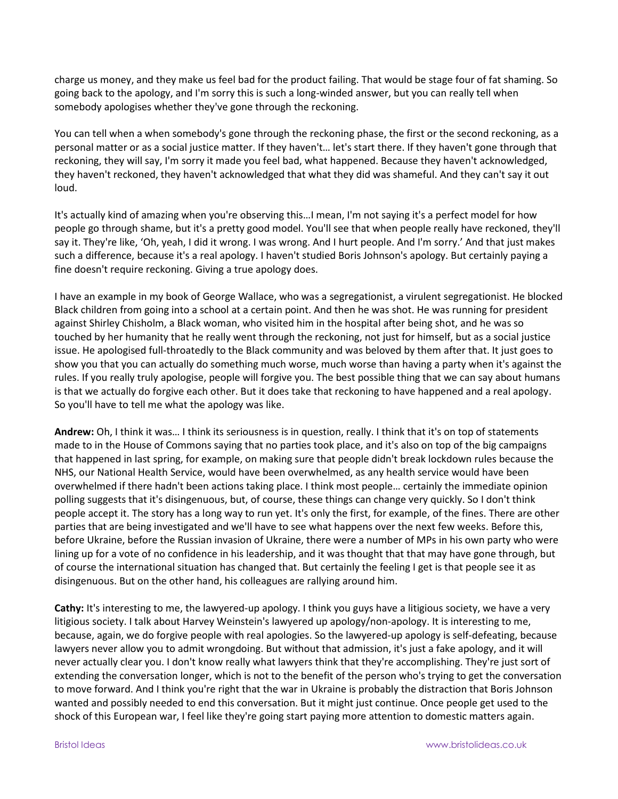charge us money, and they make us feel bad for the product failing. That would be stage four of fat shaming. So going back to the apology, and I'm sorry this is such a long-winded answer, but you can really tell when somebody apologises whether they've gone through the reckoning.

You can tell when a when somebody's gone through the reckoning phase, the first or the second reckoning, as a personal matter or as a social justice matter. If they haven't… let's start there. If they haven't gone through that reckoning, they will say, I'm sorry it made you feel bad, what happened. Because they haven't acknowledged, they haven't reckoned, they haven't acknowledged that what they did was shameful. And they can't say it out loud.

It's actually kind of amazing when you're observing this…I mean, I'm not saying it's a perfect model for how people go through shame, but it's a pretty good model. You'll see that when people really have reckoned, they'll say it. They're like, 'Oh, yeah, I did it wrong. I was wrong. And I hurt people. And I'm sorry.' And that just makes such a difference, because it's a real apology. I haven't studied Boris Johnson's apology. But certainly paying a fine doesn't require reckoning. Giving a true apology does.

I have an example in my book of George Wallace, who was a segregationist, a virulent segregationist. He blocked Black children from going into a school at a certain point. And then he was shot. He was running for president against Shirley Chisholm, a Black woman, who visited him in the hospital after being shot, and he was so touched by her humanity that he really went through the reckoning, not just for himself, but as a social justice issue. He apologised full-throatedly to the Black community and was beloved by them after that. It just goes to show you that you can actually do something much worse, much worse than having a party when it's against the rules. If you really truly apologise, people will forgive you. The best possible thing that we can say about humans is that we actually do forgive each other. But it does take that reckoning to have happened and a real apology. So you'll have to tell me what the apology was like.

**Andrew:** Oh, I think it was… I think its seriousness is in question, really. I think that it's on top of statements made to in the House of Commons saying that no parties took place, and it's also on top of the big campaigns that happened in last spring, for example, on making sure that people didn't break lockdown rules because the NHS, our National Health Service, would have been overwhelmed, as any health service would have been overwhelmed if there hadn't been actions taking place. I think most people… certainly the immediate opinion polling suggests that it's disingenuous, but, of course, these things can change very quickly. So I don't think people accept it. The story has a long way to run yet. It's only the first, for example, of the fines. There are other parties that are being investigated and we'll have to see what happens over the next few weeks. Before this, before Ukraine, before the Russian invasion of Ukraine, there were a number of MPs in his own party who were lining up for a vote of no confidence in his leadership, and it was thought that that may have gone through, but of course the international situation has changed that. But certainly the feeling I get is that people see it as disingenuous. But on the other hand, his colleagues are rallying around him.

**Cathy:** It's interesting to me, the lawyered-up apology. I think you guys have a litigious society, we have a very litigious society. I talk about Harvey Weinstein's lawyered up apology/non-apology. It is interesting to me, because, again, we do forgive people with real apologies. So the lawyered-up apology is self-defeating, because lawyers never allow you to admit wrongdoing. But without that admission, it's just a fake apology, and it will never actually clear you. I don't know really what lawyers think that they're accomplishing. They're just sort of extending the conversation longer, which is not to the benefit of the person who's trying to get the conversation to move forward. And I think you're right that the war in Ukraine is probably the distraction that Boris Johnson wanted and possibly needed to end this conversation. But it might just continue. Once people get used to the shock of this European war, I feel like they're going start paying more attention to domestic matters again.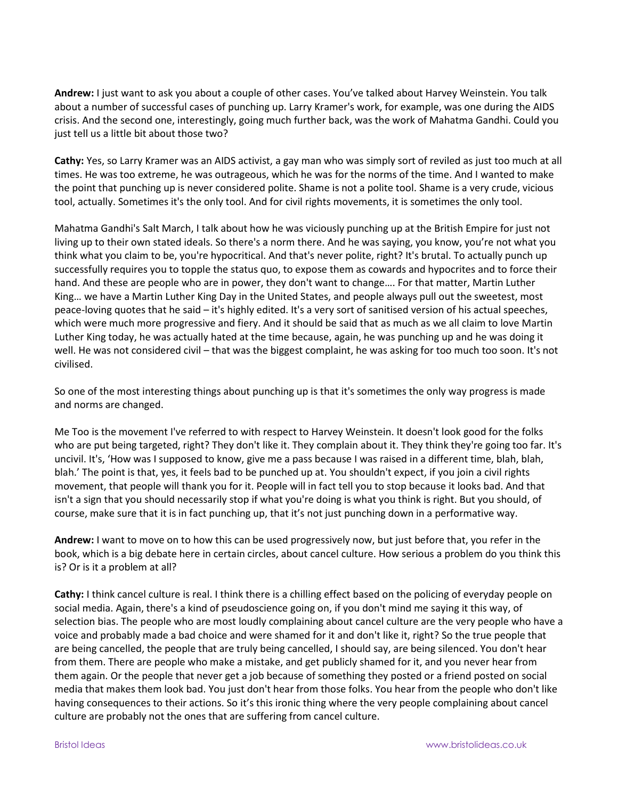**Andrew:** I just want to ask you about a couple of other cases. You've talked about Harvey Weinstein. You talk about a number of successful cases of punching up. Larry Kramer's work, for example, was one during the AIDS crisis. And the second one, interestingly, going much further back, was the work of Mahatma Gandhi. Could you just tell us a little bit about those two?

**Cathy:** Yes, so Larry Kramer was an AIDS activist, a gay man who was simply sort of reviled as just too much at all times. He was too extreme, he was outrageous, which he was for the norms of the time. And I wanted to make the point that punching up is never considered polite. Shame is not a polite tool. Shame is a very crude, vicious tool, actually. Sometimes it's the only tool. And for civil rights movements, it is sometimes the only tool.

Mahatma Gandhi's Salt March, I talk about how he was viciously punching up at the British Empire for just not living up to their own stated ideals. So there's a norm there. And he was saying, you know, you're not what you think what you claim to be, you're hypocritical. And that's never polite, right? It's brutal. To actually punch up successfully requires you to topple the status quo, to expose them as cowards and hypocrites and to force their hand. And these are people who are in power, they don't want to change…. For that matter, Martin Luther King… we have a Martin Luther King Day in the United States, and people always pull out the sweetest, most peace-loving quotes that he said – it's highly edited. It's a very sort of sanitised version of his actual speeches, which were much more progressive and fiery. And it should be said that as much as we all claim to love Martin Luther King today, he was actually hated at the time because, again, he was punching up and he was doing it well. He was not considered civil – that was the biggest complaint, he was asking for too much too soon. It's not civilised.

So one of the most interesting things about punching up is that it's sometimes the only way progress is made and norms are changed.

Me Too is the movement I've referred to with respect to Harvey Weinstein. It doesn't look good for the folks who are put being targeted, right? They don't like it. They complain about it. They think they're going too far. It's uncivil. It's, 'How was I supposed to know, give me a pass because I was raised in a different time, blah, blah, blah.' The point is that, yes, it feels bad to be punched up at. You shouldn't expect, if you join a civil rights movement, that people will thank you for it. People will in fact tell you to stop because it looks bad. And that isn't a sign that you should necessarily stop if what you're doing is what you think is right. But you should, of course, make sure that it is in fact punching up, that it's not just punching down in a performative way.

**Andrew:** I want to move on to how this can be used progressively now, but just before that, you refer in the book, which is a big debate here in certain circles, about cancel culture. How serious a problem do you think this is? Or is it a problem at all?

**Cathy:** I think cancel culture is real. I think there is a chilling effect based on the policing of everyday people on social media. Again, there's a kind of pseudoscience going on, if you don't mind me saying it this way, of selection bias. The people who are most loudly complaining about cancel culture are the very people who have a voice and probably made a bad choice and were shamed for it and don't like it, right? So the true people that are being cancelled, the people that are truly being cancelled, I should say, are being silenced. You don't hear from them. There are people who make a mistake, and get publicly shamed for it, and you never hear from them again. Or the people that never get a job because of something they posted or a friend posted on social media that makes them look bad. You just don't hear from those folks. You hear from the people who don't like having consequences to their actions. So it's this ironic thing where the very people complaining about cancel culture are probably not the ones that are suffering from cancel culture.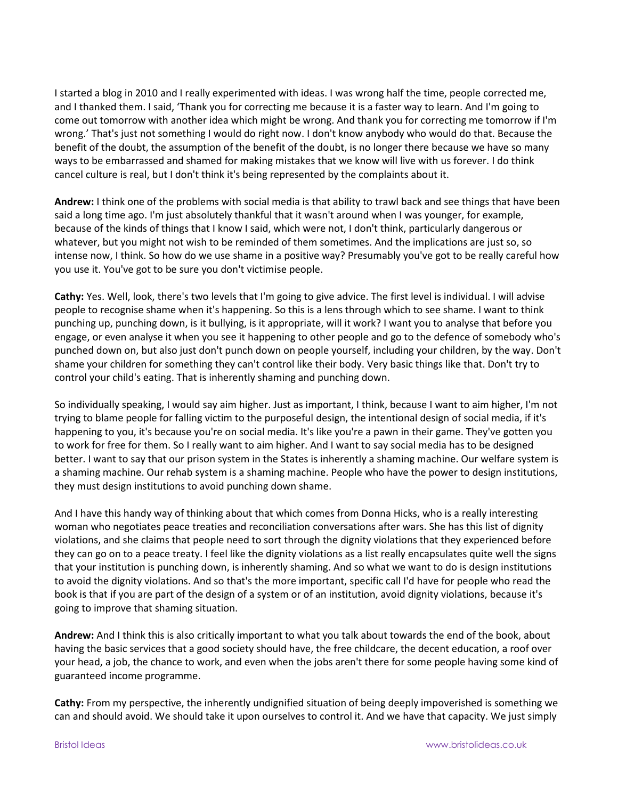I started a blog in 2010 and I really experimented with ideas. I was wrong half the time, people corrected me, and I thanked them. I said, 'Thank you for correcting me because it is a faster way to learn. And I'm going to come out tomorrow with another idea which might be wrong. And thank you for correcting me tomorrow if I'm wrong.' That's just not something I would do right now. I don't know anybody who would do that. Because the benefit of the doubt, the assumption of the benefit of the doubt, is no longer there because we have so many ways to be embarrassed and shamed for making mistakes that we know will live with us forever. I do think cancel culture is real, but I don't think it's being represented by the complaints about it.

**Andrew:** I think one of the problems with social media is that ability to trawl back and see things that have been said a long time ago. I'm just absolutely thankful that it wasn't around when I was younger, for example, because of the kinds of things that I know I said, which were not, I don't think, particularly dangerous or whatever, but you might not wish to be reminded of them sometimes. And the implications are just so, so intense now, I think. So how do we use shame in a positive way? Presumably you've got to be really careful how you use it. You've got to be sure you don't victimise people.

**Cathy:** Yes. Well, look, there's two levels that I'm going to give advice. The first level is individual. I will advise people to recognise shame when it's happening. So this is a lens through which to see shame. I want to think punching up, punching down, is it bullying, is it appropriate, will it work? I want you to analyse that before you engage, or even analyse it when you see it happening to other people and go to the defence of somebody who's punched down on, but also just don't punch down on people yourself, including your children, by the way. Don't shame your children for something they can't control like their body. Very basic things like that. Don't try to control your child's eating. That is inherently shaming and punching down.

So individually speaking, I would say aim higher. Just as important, I think, because I want to aim higher, I'm not trying to blame people for falling victim to the purposeful design, the intentional design of social media, if it's happening to you, it's because you're on social media. It's like you're a pawn in their game. They've gotten you to work for free for them. So I really want to aim higher. And I want to say social media has to be designed better. I want to say that our prison system in the States is inherently a shaming machine. Our welfare system is a shaming machine. Our rehab system is a shaming machine. People who have the power to design institutions, they must design institutions to avoid punching down shame.

And I have this handy way of thinking about that which comes from Donna Hicks, who is a really interesting woman who negotiates peace treaties and reconciliation conversations after wars. She has this list of dignity violations, and she claims that people need to sort through the dignity violations that they experienced before they can go on to a peace treaty. I feel like the dignity violations as a list really encapsulates quite well the signs that your institution is punching down, is inherently shaming. And so what we want to do is design institutions to avoid the dignity violations. And so that's the more important, specific call I'd have for people who read the book is that if you are part of the design of a system or of an institution, avoid dignity violations, because it's going to improve that shaming situation.

**Andrew:** And I think this is also critically important to what you talk about towards the end of the book, about having the basic services that a good society should have, the free childcare, the decent education, a roof over your head, a job, the chance to work, and even when the jobs aren't there for some people having some kind of guaranteed income programme.

**Cathy:** From my perspective, the inherently undignified situation of being deeply impoverished is something we can and should avoid. We should take it upon ourselves to control it. And we have that capacity. We just simply